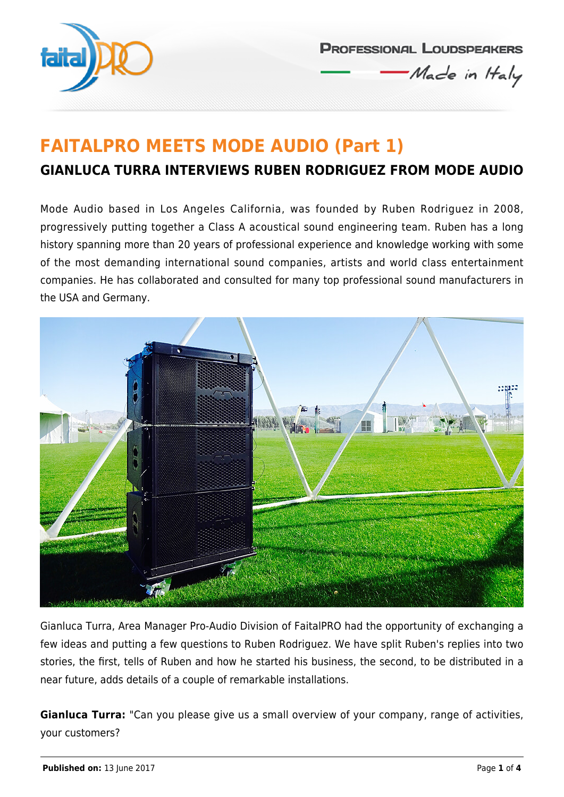

**PROFESSIONAL LOUDSPEAKERS** Made in Haly

## **FAITALPRO MEETS MODE AUDIO (Part 1) GIANLUCA TURRA INTERVIEWS RUBEN RODRIGUEZ FROM MODE AUDIO**

Mode Audio based in Los Angeles California, was founded by Ruben Rodriguez in 2008, progressively putting together a Class A acoustical sound engineering team. Ruben has a long history spanning more than 20 years of professional experience and knowledge working with some of the most demanding international sound companies, artists and world class entertainment companies. He has collaborated and consulted for many top professional sound manufacturers in the USA and Germany.



Gianluca Turra, Area Manager Pro-Audio Division of FaitalPRO had the opportunity of exchanging a few ideas and putting a few questions to Ruben Rodriguez. We have split Ruben's replies into two stories, the first, tells of Ruben and how he started his business, the second, to be distributed in a near future, adds details of a couple of remarkable installations.

**Gianluca Turra:** "Can you please give us a small overview of your company, range of activities, your customers?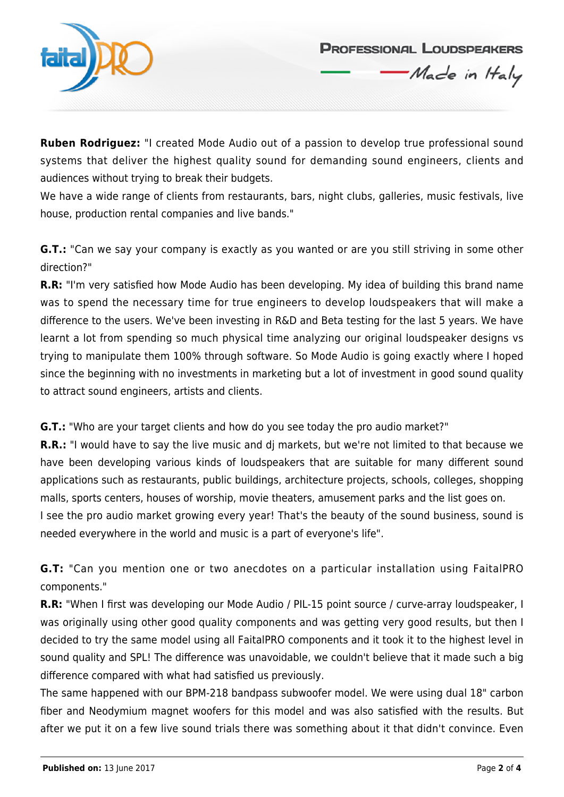

**PROFESSIONAL LOUDSPEAKERS** 

Made in Haly

**Ruben Rodriguez:** "I created Mode Audio out of a passion to develop true professional sound systems that deliver the highest quality sound for demanding sound engineers, clients and audiences without trying to break their budgets.

We have a wide range of clients from restaurants, bars, night clubs, galleries, music festivals, live house, production rental companies and live bands."

**G.T.:** "Can we say your company is exactly as you wanted or are you still striving in some other direction?"

**R.R:** "I'm very satisfied how Mode Audio has been developing. My idea of building this brand name was to spend the necessary time for true engineers to develop loudspeakers that will make a difference to the users. We've been investing in R&D and Beta testing for the last 5 years. We have learnt a lot from spending so much physical time analyzing our original loudspeaker designs vs trying to manipulate them 100% through software. So Mode Audio is going exactly where I hoped since the beginning with no investments in marketing but a lot of investment in good sound quality to attract sound engineers, artists and clients.

**G.T.:** "Who are your target clients and how do you see today the pro audio market?"

**R.R.:** "I would have to say the live music and dj markets, but we're not limited to that because we have been developing various kinds of loudspeakers that are suitable for many different sound applications such as restaurants, public buildings, architecture projects, schools, colleges, shopping malls, sports centers, houses of worship, movie theaters, amusement parks and the list goes on. I see the pro audio market growing every year! That's the beauty of the sound business, sound is needed everywhere in the world and music is a part of everyone's life".

**G.T:** "Can you mention one or two anecdotes on a particular installation using FaitalPRO components."

**R.R:** "When I first was developing our Mode Audio / PIL-15 point source / curve-array loudspeaker, I was originally using other good quality components and was getting very good results, but then I decided to try the same model using all FaitalPRO components and it took it to the highest level in sound quality and SPL! The difference was unavoidable, we couldn't believe that it made such a big difference compared with what had satisfied us previously.

The same happened with our BPM-218 bandpass subwoofer model. We were using dual 18" carbon fiber and Neodymium magnet woofers for this model and was also satisfied with the results. But after we put it on a few live sound trials there was something about it that didn't convince. Even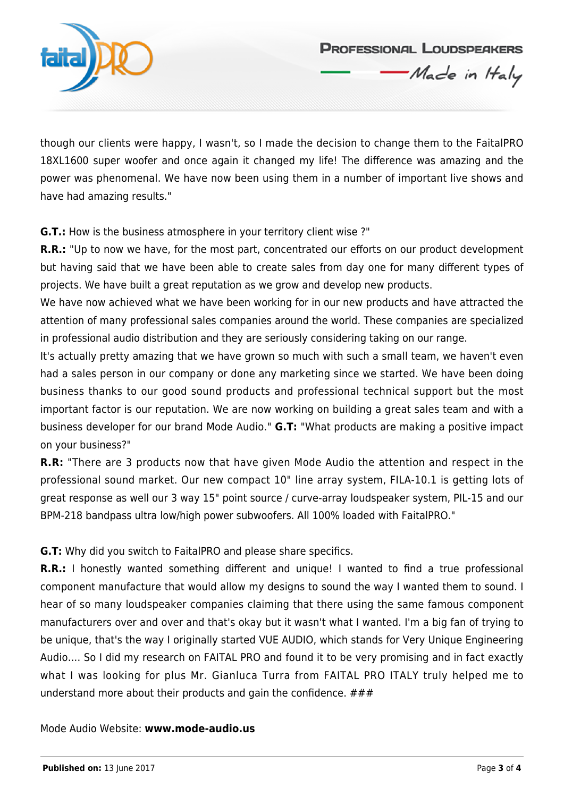

though our clients were happy, I wasn't, so I made the decision to change them to the FaitalPRO 18XL1600 super woofer and once again it changed my life! The difference was amazing and the power was phenomenal. We have now been using them in a number of important live shows and have had amazing results."

**PROFESSIONAL LOUDSPEAKERS** 

Made in Haly

**G.T.:** How is the business atmosphere in your territory client wise ?"

**R.R.:** "Up to now we have, for the most part, concentrated our efforts on our product development but having said that we have been able to create sales from day one for many different types of projects. We have built a great reputation as we grow and develop new products.

We have now achieved what we have been working for in our new products and have attracted the attention of many professional sales companies around the world. These companies are specialized in professional audio distribution and they are seriously considering taking on our range.

It's actually pretty amazing that we have grown so much with such a small team, we haven't even had a sales person in our company or done any marketing since we started. We have been doing business thanks to our good sound products and professional technical support but the most important factor is our reputation. We are now working on building a great sales team and with a business developer for our brand Mode Audio." **G.T:** "What products are making a positive impact on your business?"

**R.R:** "There are 3 products now that have given Mode Audio the attention and respect in the professional sound market. Our new compact 10" line array system, FILA-10.1 is getting lots of great response as well our 3 way 15" point source / curve-array loudspeaker system, PIL-15 and our BPM-218 bandpass ultra low/high power subwoofers. All 100% loaded with FaitalPRO."

**G.T:** Why did you switch to FaitalPRO and please share specifics.

**R.R.:** I honestly wanted something different and unique! I wanted to find a true professional component manufacture that would allow my designs to sound the way I wanted them to sound. I hear of so many loudspeaker companies claiming that there using the same famous component manufacturers over and over and that's okay but it wasn't what I wanted. I'm a big fan of trying to be unique, that's the way I originally started VUE AUDIO, which stands for Very Unique Engineering Audio.... So I did my research on FAITAL PRO and found it to be very promising and in fact exactly what I was looking for plus Mr. Gianluca Turra from FAITAL PRO ITALY truly helped me to understand more about their products and gain the confidence.  $\# \# \#$ 

Mode Audio Website: **www.mode-audio.us**